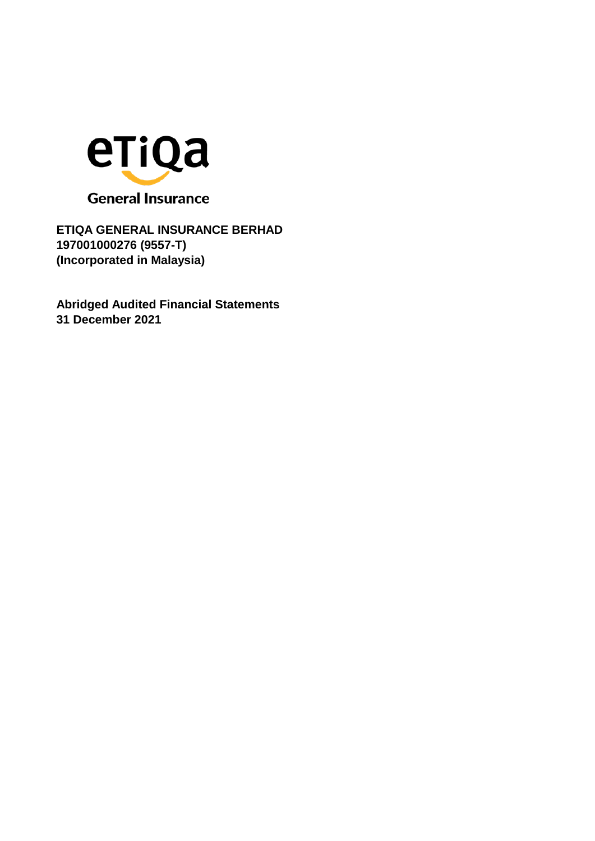

**Abridged Audited Financial Statements 31 December 2021**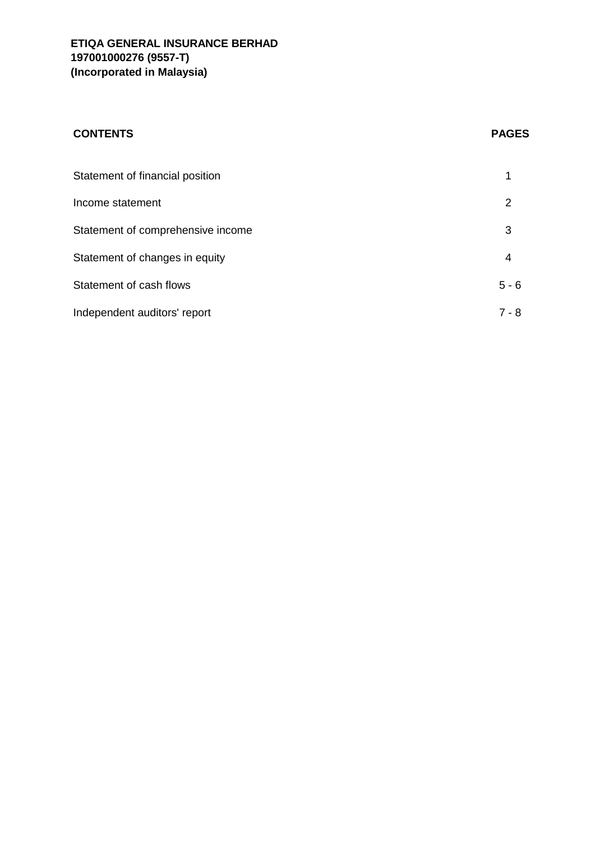# **CONTENTS PAGES**

| Statement of financial position   |         |
|-----------------------------------|---------|
| Income statement                  | 2       |
| Statement of comprehensive income | 3       |
| Statement of changes in equity    | 4       |
| Statement of cash flows           | $5 - 6$ |
| Independent auditors' report      | 7 - 8   |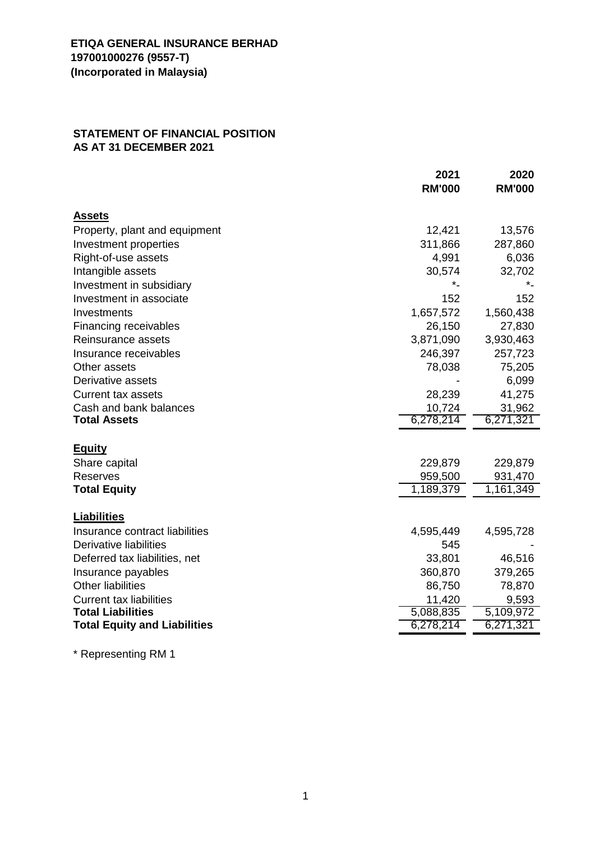## **STATEMENT OF FINANCIAL POSITION AS AT 31 DECEMBER 2021**

|                                     | 2021          | 2020          |
|-------------------------------------|---------------|---------------|
|                                     | <b>RM'000</b> | <b>RM'000</b> |
| <b>Assets</b>                       |               |               |
| Property, plant and equipment       | 12,421        | 13,576        |
| Investment properties               | 311,866       | 287,860       |
| Right-of-use assets                 | 4,991         | 6,036         |
| Intangible assets                   | 30,574        | 32,702        |
| Investment in subsidiary            | *_            | *_            |
| Investment in associate             | 152           | 152           |
| Investments                         | 1,657,572     | 1,560,438     |
| Financing receivables               | 26,150        | 27,830        |
| Reinsurance assets                  | 3,871,090     | 3,930,463     |
| Insurance receivables               | 246,397       | 257,723       |
| Other assets                        | 78,038        | 75,205        |
| Derivative assets                   |               | 6,099         |
| <b>Current tax assets</b>           | 28,239        | 41,275        |
| Cash and bank balances              | 10,724        | 31,962        |
| <b>Total Assets</b>                 | 6,278,214     | 6,271,321     |
| <u>Equity</u>                       |               |               |
| Share capital                       | 229,879       | 229,879       |
| <b>Reserves</b>                     | 959,500       | 931,470       |
| <b>Total Equity</b>                 | 1,189,379     | 1,161,349     |
|                                     |               |               |
| Liabilities                         |               |               |
| Insurance contract liabilities      | 4,595,449     | 4,595,728     |
| Derivative liabilities              | 545           |               |
| Deferred tax liabilities, net       | 33,801        | 46,516        |
| Insurance payables                  | 360,870       | 379,265       |
| <b>Other liabilities</b>            | 86,750        | 78,870        |
| <b>Current tax liabilities</b>      | 11,420        | 9,593         |
| <b>Total Liabilities</b>            | 5,088,835     | 5,109,972     |
| <b>Total Equity and Liabilities</b> | 6,278,214     | 6,271,321     |

\* Representing RM 1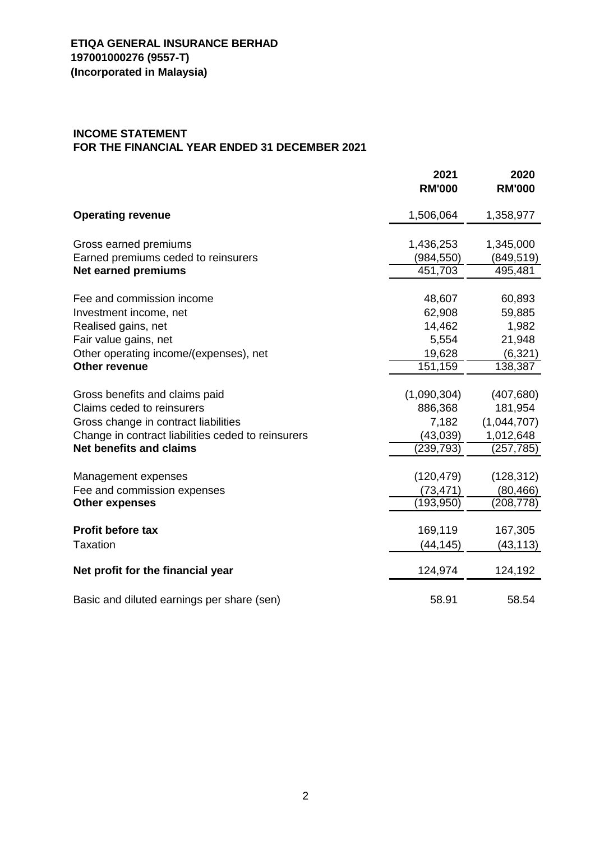## **INCOME STATEMENT FOR THE FINANCIAL YEAR ENDED 31 DECEMBER 2021**

|                                                    | 2021<br><b>RM'000</b> | 2020<br><b>RM'000</b> |
|----------------------------------------------------|-----------------------|-----------------------|
| <b>Operating revenue</b>                           | 1,506,064             | 1,358,977             |
| Gross earned premiums                              | 1,436,253             | 1,345,000             |
| Earned premiums ceded to reinsurers                | (984, 550)            | (849, 519)            |
| <b>Net earned premiums</b>                         | 451,703               | 495,481               |
| Fee and commission income                          | 48,607                | 60,893                |
| Investment income, net                             | 62,908                | 59,885                |
| Realised gains, net                                | 14,462                | 1,982                 |
| Fair value gains, net                              | 5,554                 | 21,948                |
| Other operating income/(expenses), net             | 19,628                | (6, 321)              |
| Other revenue                                      | 151,159               | 138,387               |
|                                                    |                       |                       |
| Gross benefits and claims paid                     | (1,090,304)           | (407, 680)            |
| Claims ceded to reinsurers                         | 886,368               | 181,954               |
| Gross change in contract liabilities               | 7,182                 | (1,044,707)           |
| Change in contract liabilities ceded to reinsurers | (43, 039)             | 1,012,648             |
| <b>Net benefits and claims</b>                     | (239, 793)            | (257, 785)            |
| Management expenses                                | (120, 479)            | (128, 312)            |
| Fee and commission expenses                        | (73, 471)             | (80, 466)             |
| <b>Other expenses</b>                              | (193, 950)            | (208, 778)            |
|                                                    |                       |                       |
| <b>Profit before tax</b>                           | 169,119               | 167,305               |
| <b>Taxation</b>                                    | (44,145)              | (43, 113)             |
| Net profit for the financial year                  | 124,974               | 124,192               |
| Basic and diluted earnings per share (sen)         | 58.91                 | 58.54                 |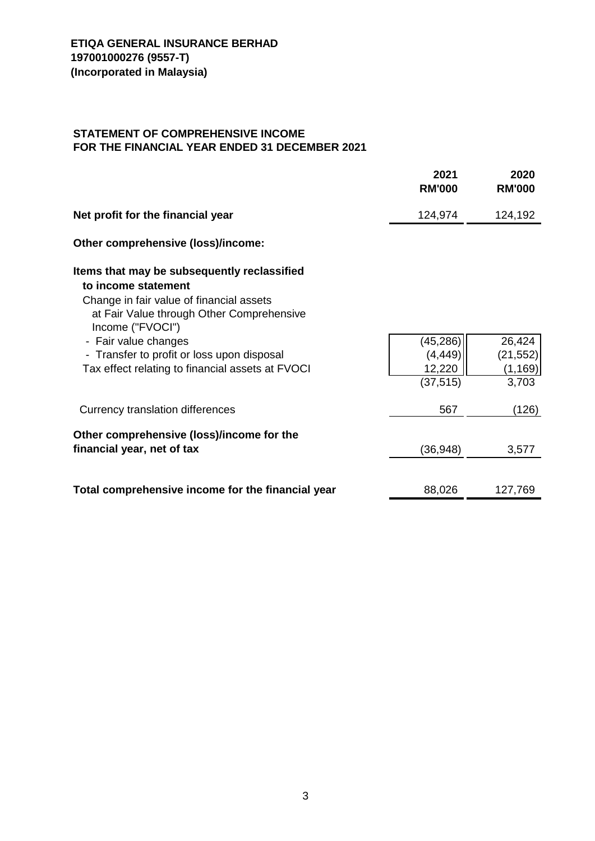## **STATEMENT OF COMPREHENSIVE INCOME FOR THE FINANCIAL YEAR ENDED 31 DECEMBER 2021**

|                                                                                                                                                                                                                                                                                                           | 2021<br><b>RM'000</b>                        | 2020<br><b>RM'000</b>                    |
|-----------------------------------------------------------------------------------------------------------------------------------------------------------------------------------------------------------------------------------------------------------------------------------------------------------|----------------------------------------------|------------------------------------------|
| Net profit for the financial year                                                                                                                                                                                                                                                                         | 124,974                                      | 124,192                                  |
| Other comprehensive (loss)/income:                                                                                                                                                                                                                                                                        |                                              |                                          |
| Items that may be subsequently reclassified<br>to income statement<br>Change in fair value of financial assets<br>at Fair Value through Other Comprehensive<br>Income ("FVOCI")<br>- Fair value changes<br>- Transfer to profit or loss upon disposal<br>Tax effect relating to financial assets at FVOCI | (45, 286)<br>(4, 449)<br>12,220<br>(37, 515) | 26,424<br>(21, 552)<br>(1, 169)<br>3,703 |
| Currency translation differences                                                                                                                                                                                                                                                                          | 567                                          | (126)                                    |
| Other comprehensive (loss)/income for the<br>financial year, net of tax                                                                                                                                                                                                                                   | (36, 948)                                    | 3,577                                    |
| Total comprehensive income for the financial year                                                                                                                                                                                                                                                         | 88,026                                       | 127,769                                  |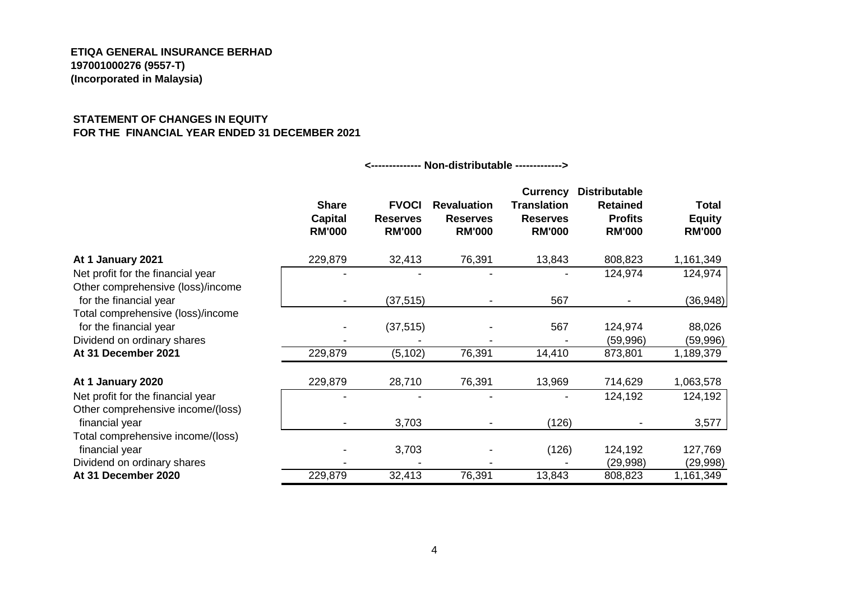#### **STATEMENT OF CHANGES IN EQUITY FOR THE FINANCIAL YEAR ENDED 31 DECEMBER 2021**

|                                                                                            | <b>Share</b><br><b>Capital</b><br><b>RM'000</b> | <b>FVOCI</b><br><b>Reserves</b><br><b>RM'000</b> | <b>Revaluation</b><br><b>Reserves</b><br><b>RM'000</b> | <b>Currency</b><br><b>Translation</b><br><b>Reserves</b><br><b>RM'000</b> | <b>Distributable</b><br><b>Retained</b><br><b>Profits</b><br><b>RM'000</b> | <b>Total</b><br><b>Equity</b><br><b>RM'000</b> |
|--------------------------------------------------------------------------------------------|-------------------------------------------------|--------------------------------------------------|--------------------------------------------------------|---------------------------------------------------------------------------|----------------------------------------------------------------------------|------------------------------------------------|
| At 1 January 2021                                                                          | 229,879                                         | 32,413                                           | 76,391                                                 | 13,843                                                                    | 808,823                                                                    | 1,161,349                                      |
| Net profit for the financial year<br>Other comprehensive (loss)/income                     |                                                 |                                                  |                                                        |                                                                           | 124,974                                                                    | 124,974                                        |
| for the financial year                                                                     | $\blacksquare$                                  | (37, 515)                                        |                                                        | 567                                                                       |                                                                            | (36, 948)                                      |
| Total comprehensive (loss)/income<br>for the financial year<br>Dividend on ordinary shares |                                                 | (37, 515)                                        |                                                        | 567                                                                       | 124,974<br>(59,996)                                                        | 88,026<br>(59,996)                             |
| At 31 December 2021                                                                        | 229,879                                         | (5, 102)                                         | 76,391                                                 | 14,410                                                                    | 873,801                                                                    | 1,189,379                                      |
| At 1 January 2020                                                                          | 229,879                                         | 28,710                                           | 76,391                                                 | 13,969                                                                    | 714,629                                                                    | 1,063,578                                      |
| Net profit for the financial year<br>Other comprehensive income/(loss)<br>financial year   |                                                 | 3,703                                            |                                                        | (126)                                                                     | 124,192                                                                    | 124,192<br>3,577                               |
| Total comprehensive income/(loss)<br>financial year                                        |                                                 | 3,703                                            |                                                        | (126)                                                                     | 124,192                                                                    | 127,769                                        |
| Dividend on ordinary shares                                                                |                                                 |                                                  |                                                        |                                                                           | (29,998)                                                                   | (29, 998)                                      |
| At 31 December 2020                                                                        | 229,879                                         | 32,413                                           | 76,391                                                 | 13,843                                                                    | 808,823                                                                    | 1,161,349                                      |

**<-------------- Non-distributable ------------->**

4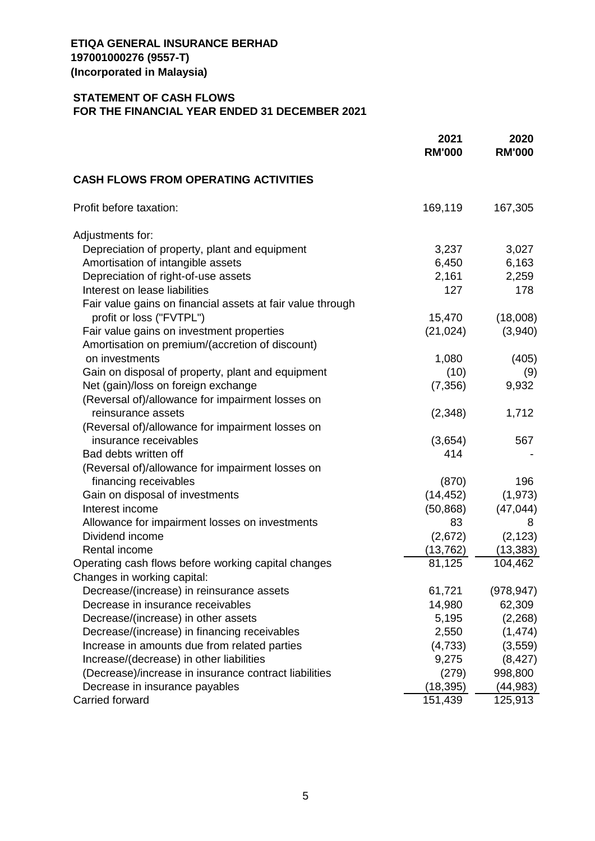## **STATEMENT OF CASH FLOWS FOR THE FINANCIAL YEAR ENDED 31 DECEMBER 2021**

|                                                                                | 2021<br><b>RM'000</b> | 2020<br><b>RM'000</b> |
|--------------------------------------------------------------------------------|-----------------------|-----------------------|
| <b>CASH FLOWS FROM OPERATING ACTIVITIES</b>                                    |                       |                       |
| Profit before taxation:                                                        | 169,119               | 167,305               |
| Adjustments for:                                                               |                       |                       |
| Depreciation of property, plant and equipment                                  | 3,237                 | 3,027                 |
| Amortisation of intangible assets                                              | 6,450                 | 6,163                 |
| Depreciation of right-of-use assets                                            | 2,161                 | 2,259                 |
| Interest on lease liabilities                                                  | 127                   | 178                   |
| Fair value gains on financial assets at fair value through                     |                       |                       |
| profit or loss ("FVTPL")                                                       | 15,470                | (18,008)              |
| Fair value gains on investment properties                                      | (21, 024)             | (3,940)               |
| Amortisation on premium/(accretion of discount)                                |                       |                       |
| on investments                                                                 | 1,080                 | (405)                 |
| Gain on disposal of property, plant and equipment                              | (10)                  | (9)                   |
| Net (gain)/loss on foreign exchange                                            | (7, 356)              | 9,932                 |
| (Reversal of)/allowance for impairment losses on                               |                       |                       |
| reinsurance assets                                                             | (2,348)               | 1,712                 |
| (Reversal of)/allowance for impairment losses on                               |                       |                       |
| insurance receivables                                                          | (3,654)               | 567                   |
| Bad debts written off                                                          | 414                   |                       |
| (Reversal of)/allowance for impairment losses on                               |                       |                       |
| financing receivables                                                          | (870)                 | 196                   |
| Gain on disposal of investments                                                | (14, 452)             | (1, 973)              |
| Interest income                                                                | (50, 868)             | (47, 044)             |
| Allowance for impairment losses on investments                                 | 83                    | 8                     |
| Dividend income                                                                | (2,672)               | (2, 123)              |
| Rental income                                                                  |                       | (13, 383)             |
| Operating cash flows before working capital changes                            | (13, 762)<br>81,125   | 104,462               |
|                                                                                |                       |                       |
| Changes in working capital:                                                    |                       |                       |
| Decrease/(increase) in reinsurance assets<br>Decrease in insurance receivables | 61,721                | (978, 947)            |
|                                                                                | 14,980                | 62,309                |
| Decrease/(increase) in other assets                                            | 5,195                 | (2,268)               |
| Decrease/(increase) in financing receivables                                   | 2,550                 | (1, 474)              |
| Increase in amounts due from related parties                                   | (4, 733)              | (3, 559)              |
| Increase/(decrease) in other liabilities                                       | 9,275                 | (8, 427)              |
| (Decrease)/increase in insurance contract liabilities                          | (279)                 | 998,800               |
| Decrease in insurance payables                                                 | (18, 395)             | (44, 983)             |
| <b>Carried forward</b>                                                         | 151,439               | 125,913               |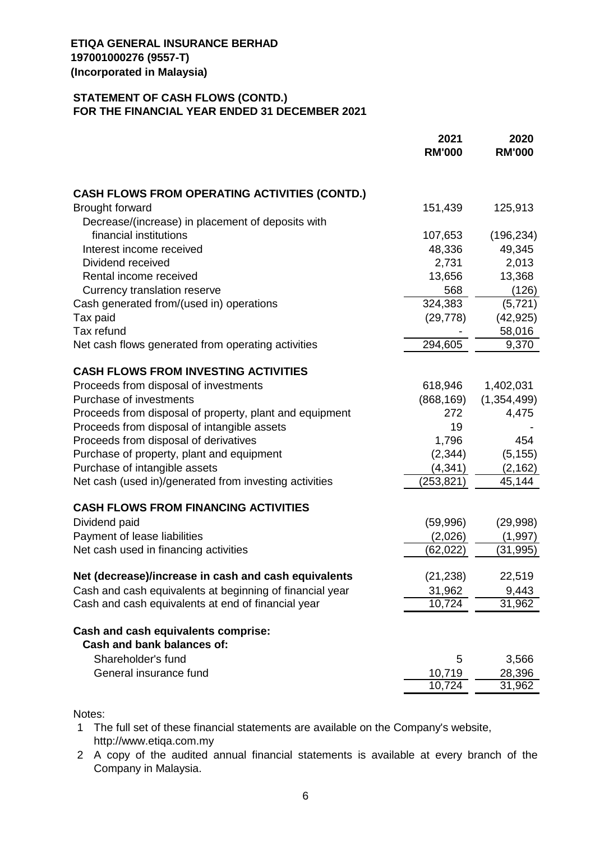## **STATEMENT OF CASH FLOWS (CONTD.) FOR THE FINANCIAL YEAR ENDED 31 DECEMBER 2021**

|                                                          | 2021<br><b>RM'000</b> | 2020<br><b>RM'000</b> |
|----------------------------------------------------------|-----------------------|-----------------------|
| <b>CASH FLOWS FROM OPERATING ACTIVITIES (CONTD.)</b>     |                       |                       |
| <b>Brought forward</b>                                   | 151,439               | 125,913               |
| Decrease/(increase) in placement of deposits with        |                       |                       |
| financial institutions                                   | 107,653               | (196, 234)            |
| Interest income received                                 | 48,336                | 49,345                |
| Dividend received                                        | 2,731                 | 2,013                 |
| Rental income received                                   | 13,656                | 13,368                |
| Currency translation reserve                             | 568                   | (126)                 |
| Cash generated from/(used in) operations                 | 324,383               | (5, 721)              |
| Tax paid                                                 | (29, 778)             | (42, 925)             |
| Tax refund                                               |                       | 58,016                |
| Net cash flows generated from operating activities       | 294,605               | 9,370                 |
| <b>CASH FLOWS FROM INVESTING ACTIVITIES</b>              |                       |                       |
| Proceeds from disposal of investments                    | 618,946               | 1,402,031             |
| Purchase of investments                                  | (868, 169)            | (1, 354, 499)         |
| Proceeds from disposal of property, plant and equipment  | 272                   | 4,475                 |
| Proceeds from disposal of intangible assets              | 19                    |                       |
| Proceeds from disposal of derivatives                    | 1,796                 | 454                   |
| Purchase of property, plant and equipment                | (2, 344)              | (5, 155)              |
| Purchase of intangible assets                            | (4, 341)              | (2, 162)              |
| Net cash (used in)/generated from investing activities   | (253, 821)            | 45,144                |
| <b>CASH FLOWS FROM FINANCING ACTIVITIES</b>              |                       |                       |
| Dividend paid                                            | (59,996)              | (29,998)              |
| Payment of lease liabilities                             | (2,026)               | (1,997)               |
| Net cash used in financing activities                    | (62, 022)             | (31, 995)             |
|                                                          |                       |                       |
| Net (decrease)/increase in cash and cash equivalents     | (21, 238)             | 22,519                |
| Cash and cash equivalents at beginning of financial year | 31,962                | 9,443<br>31,962       |
| Cash and cash equivalents at end of financial year       | 10,724                |                       |
| Cash and cash equivalents comprise:                      |                       |                       |
| Cash and bank balances of:                               |                       |                       |
| Shareholder's fund                                       | 5                     | 3,566                 |
| General insurance fund                                   | 10,719                | 28,396                |
|                                                          | 10,724                | 31,962                |

Notes:

- 1 The full set of these financial statements are available on the Company's website, [http://www.etiqa.com.my](http://www.etiqa.com.my/)
- 2 A copy of the audited annual financial statements is available at every branch of the Company in Malaysia.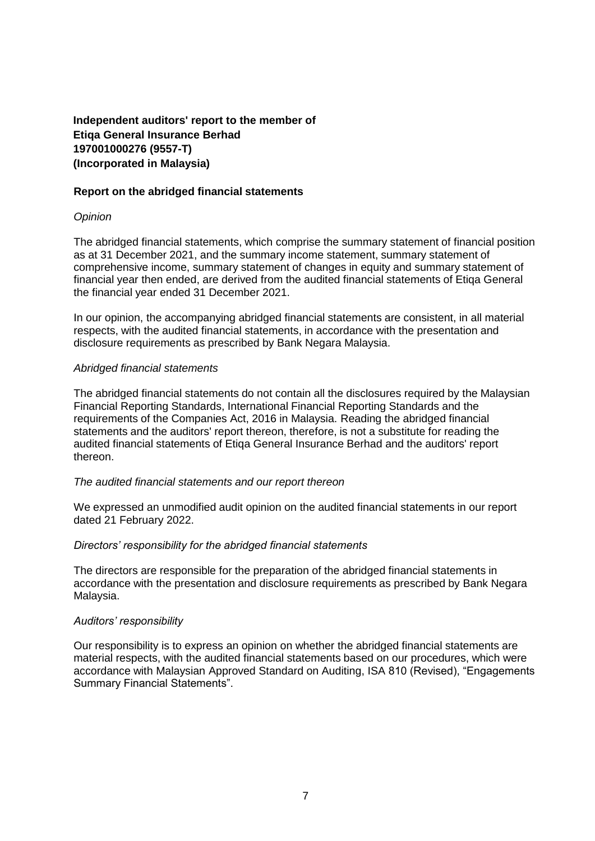**Independent auditors' report to the member of Etiqa General Insurance Berhad 197001000276 (9557-T) (Incorporated in Malaysia)**

### **Report on the abridged financial statements**

### *Opinion*

The abridged financial statements, which comprise the summary statement of financial position as at 31 December 2021, and the summary income statement, summary statement of comprehensive income, summary statement of changes in equity and summary statement of financial year then ended, are derived from the audited financial statements of Etiqa General the financial year ended 31 December 2021.

In our opinion, the accompanying abridged financial statements are consistent, in all material respects, with the audited financial statements, in accordance with the presentation and disclosure requirements as prescribed by Bank Negara Malaysia.

#### *Abridged financial statements*

The abridged financial statements do not contain all the disclosures required by the Malaysian Financial Reporting Standards, International Financial Reporting Standards and the requirements of the Companies Act, 2016 in Malaysia. Reading the abridged financial statements and the auditors' report thereon, therefore, is not a substitute for reading the audited financial statements of Etiqa General Insurance Berhad and the auditors' report thereon.

#### *The audited financial statements and our report thereon*

We expressed an unmodified audit opinion on the audited financial statements in our report dated 21 February 2022.

#### *Directors' responsibility for the abridged financial statements*

The directors are responsible for the preparation of the abridged financial statements in accordance with the presentation and disclosure requirements as prescribed by Bank Negara Malaysia.

#### *Auditors' responsibility*

Our responsibility is to express an opinion on whether the abridged financial statements are material respects, with the audited financial statements based on our procedures, which were accordance with Malaysian Approved Standard on Auditing, ISA 810 (Revised), "Engagements Summary Financial Statements".